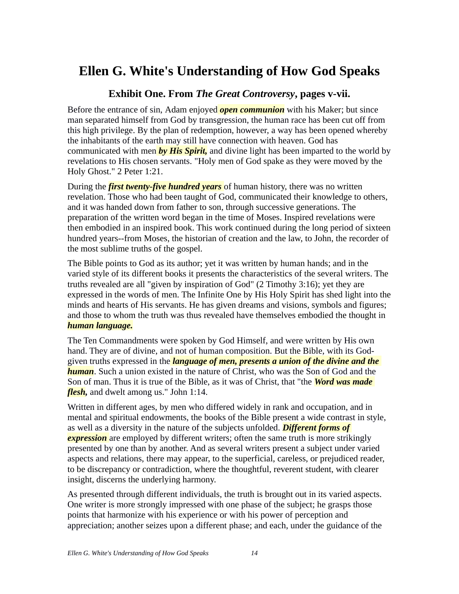# **Ellen G. White's Understanding of How God Speaks**

#### **Exhibit One. From** *The Great Controversy***, pages v-vii.**

Before the entrance of sin, Adam enjoyed *open communion* with his Maker; but since man separated himself from God by transgression, the human race has been cut off from this high privilege. By the plan of redemption, however, a way has been opened whereby the inhabitants of the earth may still have connection with heaven. God has communicated with men *by His Spirit,* and divine light has been imparted to the world by revelations to His chosen servants. "Holy men of God spake as they were moved by the Holy Ghost." 2 Peter 1:21.

During the *first twenty-five hundred years* of human history, there was no written revelation. Those who had been taught of God, communicated their knowledge to others, and it was handed down from father to son, through successive generations. The preparation of the written word began in the time of Moses. Inspired revelations were then embodied in an inspired book. This work continued during the long period of sixteen hundred years--from Moses, the historian of creation and the law, to John, the recorder of the most sublime truths of the gospel.

The Bible points to God as its author; yet it was written by human hands; and in the varied style of its different books it presents the characteristics of the several writers. The truths revealed are all "given by inspiration of God" (2 Timothy 3:16); yet they are expressed in the words of men. The Infinite One by His Holy Spirit has shed light into the minds and hearts of His servants. He has given dreams and visions, symbols and figures; and those to whom the truth was thus revealed have themselves embodied the thought in *human language.*

The Ten Commandments were spoken by God Himself, and were written by His own hand. They are of divine, and not of human composition. But the Bible, with its Godgiven truths expressed in the *language of men, presents a union of the divine and the human*. Such a union existed in the nature of Christ, who was the Son of God and the Son of man. Thus it is true of the Bible, as it was of Christ, that "the *Word was made flesh,* and dwelt among us." John 1:14.

Written in different ages, by men who differed widely in rank and occupation, and in mental and spiritual endowments, the books of the Bible present a wide contrast in style, as well as a diversity in the nature of the subjects unfolded. *Different forms of expression* are employed by different writers; often the same truth is more strikingly presented by one than by another. And as several writers present a subject under varied aspects and relations, there may appear, to the superficial, careless, or prejudiced reader, to be discrepancy or contradiction, where the thoughtful, reverent student, with clearer insight, discerns the underlying harmony.

As presented through different individuals, the truth is brought out in its varied aspects. One writer is more strongly impressed with one phase of the subject; he grasps those points that harmonize with his experience or with his power of perception and appreciation; another seizes upon a different phase; and each, under the guidance of the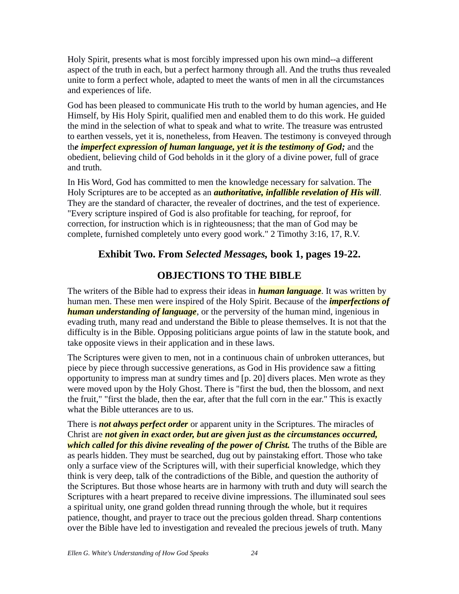Holy Spirit, presents what is most forcibly impressed upon his own mind--a different aspect of the truth in each, but a perfect harmony through all. And the truths thus revealed unite to form a perfect whole, adapted to meet the wants of men in all the circumstances and experiences of life.

God has been pleased to communicate His truth to the world by human agencies, and He Himself, by His Holy Spirit, qualified men and enabled them to do this work. He guided the mind in the selection of what to speak and what to write. The treasure was entrusted to earthen vessels, yet it is, nonetheless, from Heaven. The testimony is conveyed through th*e imperfect expression of human language, yet it is the testimony of God;* and the obedient, believing child of God beholds in it the glory of a divine power, full of grace and truth.

In His Word, God has committed to men the knowledge necessary for salvation. The Holy Scriptures are to be accepted as an *authoritative, infallible revelation of His will*. They are the standard of character, the revealer of doctrines, and the test of experience. "Every scripture inspired of God is also profitable for teaching, for reproof, for correction, for instruction which is in righteousness; that the man of God may be complete, furnished completely unto every good work." 2 Timothy 3:16, 17, R.V.

## **Exhibit Two. From** *Selected Messages,* **book 1, pages 19-22.**

# **OBJECTIONS TO THE BIBLE**

The writers of the Bible had to express their ideas in *human language*. It was written by human men. These men were inspired of the Holy Spirit. Because of the *imperfections of human understanding of language*, or the perversity of the human mind, ingenious in evading truth, many read and understand the Bible to please themselves. It is not that the difficulty is in the Bible. Opposing politicians argue points of law in the statute book, and take opposite views in their application and in these laws.

The Scriptures were given to men, not in a continuous chain of unbroken utterances, but piece by piece through successive generations, as God in His providence saw a fitting opportunity to impress man at sundry times and [p. 20] divers places. Men wrote as they were moved upon by the Holy Ghost. There is "first the bud, then the blossom, and next the fruit," "first the blade, then the ear, after that the full corn in the ear." This is exactly what the Bible utterances are to us.

There is *not always perfect order* or apparent unity in the Scriptures. The miracles of Christ are *not given in exact order, but are given just as the circumstances occurred,*  **which called for this divine revealing of the power of Christ.** The truths of the Bible are as pearls hidden. They must be searched, dug out by painstaking effort. Those who take only a surface view of the Scriptures will, with their superficial knowledge, which they think is very deep, talk of the contradictions of the Bible, and question the authority of the Scriptures. But those whose hearts are in harmony with truth and duty will search the Scriptures with a heart prepared to receive divine impressions. The illuminated soul sees a spiritual unity, one grand golden thread running through the whole, but it requires patience, thought, and prayer to trace out the precious golden thread. Sharp contentions over the Bible have led to investigation and revealed the precious jewels of truth. Many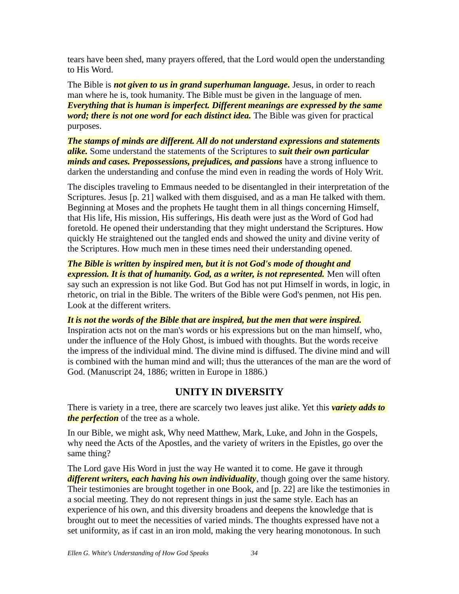tears have been shed, many prayers offered, that the Lord would open the understanding to His Word.

The Bible is *not given to us in grand superhuman language.* Jesus, in order to reach man where he is, took humanity. The Bible must be given in the language of men. *Everything that is human is imperfect. Different meanings are expressed by the same word; there is not one word for each distinct idea.* The Bible was given for practical purposes.

*The stamps of minds are different. All do not understand expressions and statements alike.* Some understand the statements of the Scriptures to *suit their own particular minds and cases. Prepossessions, prejudices, and passions* have a strong influence to darken the understanding and confuse the mind even in reading the words of Holy Writ.

The disciples traveling to Emmaus needed to be disentangled in their interpretation of the Scriptures. Jesus [p. 21] walked with them disguised, and as a man He talked with them. Beginning at Moses and the prophets He taught them in all things concerning Himself, that His life, His mission, His sufferings, His death were just as the Word of God had foretold. He opened their understanding that they might understand the Scriptures. How quickly He straightened out the tangled ends and showed the unity and divine verity of the Scriptures. How much men in these times need their understanding opened.

*The Bible is written by inspired men, but it is not God's mode of thought and expression. It is that of humanity. God, as a writer, is not represented.* Men will often say such an expression is not like God. But God has not put Himself in words, in logic, in rhetoric, on trial in the Bible. The writers of the Bible were God's penmen, not His pen. Look at the different writers.

*It is not the words of the Bible that are inspired, but the men that were inspired.*  Inspiration acts not on the man's words or his expressions but on the man himself, who, under the influence of the Holy Ghost, is imbued with thoughts. But the words receive the impress of the individual mind. The divine mind is diffused. The divine mind and will is combined with the human mind and will; thus the utterances of the man are the word of God. (Manuscript 24, 1886; written in Europe in 1886.)

### **UNITY IN DIVERSITY**

There is variety in a tree, there are scarcely two leaves just alike. Yet this *variety adds to the perfection* of the tree as a whole.

In our Bible, we might ask, Why need Matthew, Mark, Luke, and John in the Gospels, why need the Acts of the Apostles, and the variety of writers in the Epistles, go over the same thing?

The Lord gave His Word in just the way He wanted it to come. He gave it through *different writers, each having his own individuality*, though going over the same history. Their testimonies are brought together in one Book, and [p. 22] are like the testimonies in a social meeting. They do not represent things in just the same style. Each has an experience of his own, and this diversity broadens and deepens the knowledge that is brought out to meet the necessities of varied minds. The thoughts expressed have not a set uniformity, as if cast in an iron mold, making the very hearing monotonous. In such